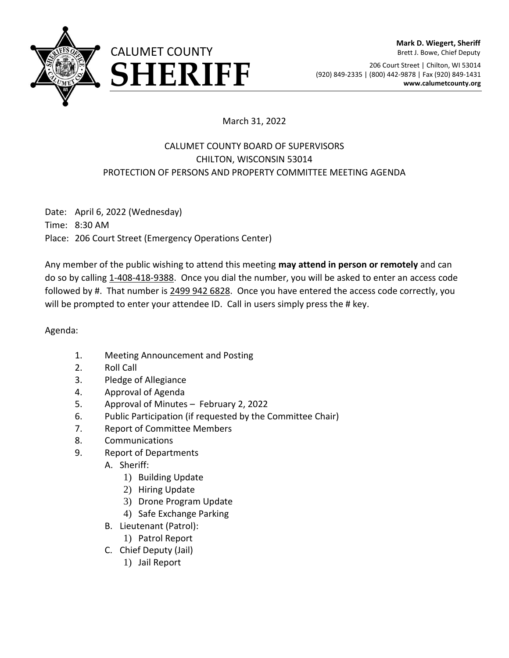

206 Court Street | Chilton, WI 53014 ERRIFF (920) 849-2335 | (800) 442-9878 | Fax (920) 849-1431<br>www.calumetcounty.org

## March 31, 2022

## CALUMET COUNTY BOARD OF SUPERVISORS CHILTON, WISCONSIN 53014 PROTECTION OF PERSONS AND PROPERTY COMMITTEE MEETING AGENDA

Date: April 6, 2022 (Wednesday) Time: 8:30 AM Place: 206 Court Street (Emergency Operations Center)

Any member of the public wishing to attend this meeting **may attend in person or remotely** and can do so by calling 1-408-418-9388. Once you dial the number, you will be asked to enter an access code followed by #. That number is 2499 942 6828. Once you have entered the access code correctly, you will be prompted to enter your attendee ID. Call in users simply press the # key.

Agenda:

- 1. Meeting Announcement and Posting
- 2. Roll Call
- 3. Pledge of Allegiance
- 4. Approval of Agenda
- 5. Approval of Minutes February 2, 2022
- 6. Public Participation (if requested by the Committee Chair)
- 7. Report of Committee Members
- 8. Communications
- 9. Report of Departments
	- A. Sheriff:
		- 1) Building Update
		- 2) Hiring Update
		- 3) Drone Program Update
		- 4) Safe Exchange Parking
	- B. Lieutenant (Patrol):
		- 1) Patrol Report
	- C. Chief Deputy (Jail)
		- 1) Jail Report